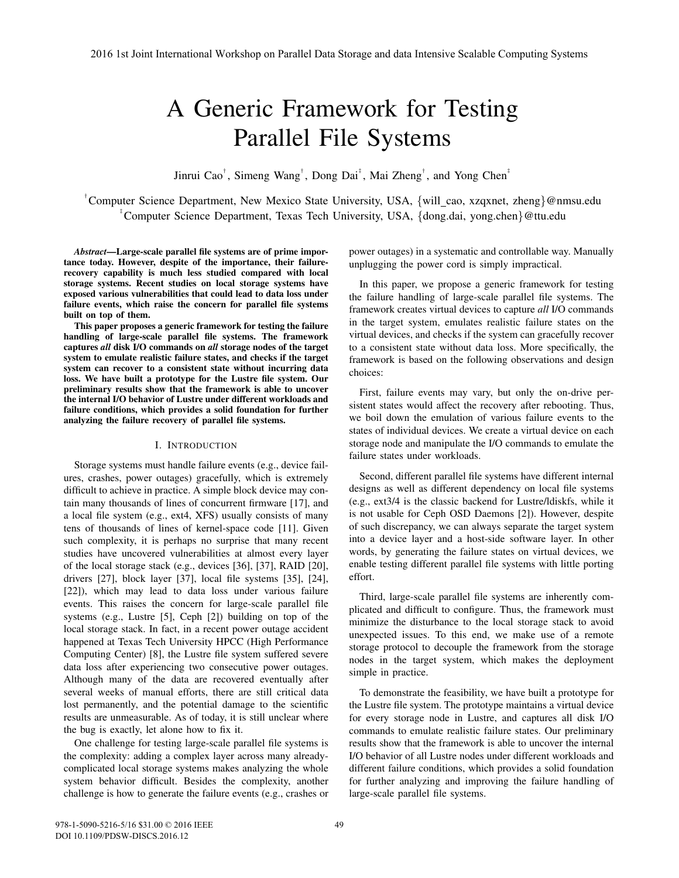# A Generic Framework for Testing Parallel File Systems

Jinrui Cao<sup>†</sup>, Simeng Wang<sup>†</sup>, Dong Dai<sup>‡</sup>, Mai Zheng<sup>†</sup>, and Yong Chen<sup>‡</sup>

<sup>†</sup> Computer Science Department, New Mexico State University, USA, {will\_cao, xzqxnet, zheng}@nmsu.edu ‡ Computer Science Department, Texas Tech University, USA, {dong.dai, yong.chen}@ttu.edu

*Abstract*—Large-scale parallel file systems are of prime importance today. However, despite of the importance, their failurerecovery capability is much less studied compared with local storage systems. Recent studies on local storage systems have exposed various vulnerabilities that could lead to data loss under failure events, which raise the concern for parallel file systems built on top of them.

This paper proposes a generic framework for testing the failure handling of large-scale parallel file systems. The framework captures *all* disk I/O commands on *all* storage nodes of the target system to emulate realistic failure states, and checks if the target system can recover to a consistent state without incurring data loss. We have built a prototype for the Lustre file system. Our preliminary results show that the framework is able to uncover the internal I/O behavior of Lustre under different workloads and failure conditions, which provides a solid foundation for further analyzing the failure recovery of parallel file systems.

# I. INTRODUCTION

Storage systems must handle failure events (e.g., device failures, crashes, power outages) gracefully, which is extremely difficult to achieve in practice. A simple block device may contain many thousands of lines of concurrent firmware [17], and a local file system (e.g., ext4, XFS) usually consists of many tens of thousands of lines of kernel-space code [11]. Given such complexity, it is perhaps no surprise that many recent studies have uncovered vulnerabilities at almost every layer of the local storage stack (e.g., devices [36], [37], RAID [20], drivers [27], block layer [37], local file systems [35], [24], [22]), which may lead to data loss under various failure events. This raises the concern for large-scale parallel file systems (e.g., Lustre [5], Ceph [2]) building on top of the local storage stack. In fact, in a recent power outage accident happened at Texas Tech University HPCC (High Performance Computing Center) [8], the Lustre file system suffered severe data loss after experiencing two consecutive power outages. Although many of the data are recovered eventually after several weeks of manual efforts, there are still critical data lost permanently, and the potential damage to the scientific results are unmeasurable. As of today, it is still unclear where the bug is exactly, let alone how to fix it.

One challenge for testing large-scale parallel file systems is the complexity: adding a complex layer across many alreadycomplicated local storage systems makes analyzing the whole system behavior difficult. Besides the complexity, another challenge is how to generate the failure events (e.g., crashes or power outages) in a systematic and controllable way. Manually unplugging the power cord is simply impractical.

In this paper, we propose a generic framework for testing the failure handling of large-scale parallel file systems. The framework creates virtual devices to capture *all* I/O commands in the target system, emulates realistic failure states on the virtual devices, and checks if the system can gracefully recover to a consistent state without data loss. More specifically, the framework is based on the following observations and design choices:

First, failure events may vary, but only the on-drive persistent states would affect the recovery after rebooting. Thus, we boil down the emulation of various failure events to the states of individual devices. We create a virtual device on each storage node and manipulate the I/O commands to emulate the failure states under workloads.

Second, different parallel file systems have different internal designs as well as different dependency on local file systems (e.g., ext3/4 is the classic backend for Lustre/ldiskfs, while it is not usable for Ceph OSD Daemons [2]). However, despite of such discrepancy, we can always separate the target system into a device layer and a host-side software layer. In other words, by generating the failure states on virtual devices, we enable testing different parallel file systems with little porting effort.

Third, large-scale parallel file systems are inherently complicated and difficult to configure. Thus, the framework must minimize the disturbance to the local storage stack to avoid unexpected issues. To this end, we make use of a remote storage protocol to decouple the framework from the storage nodes in the target system, which makes the deployment simple in practice.

To demonstrate the feasibility, we have built a prototype for the Lustre file system. The prototype maintains a virtual device for every storage node in Lustre, and captures all disk I/O commands to emulate realistic failure states. Our preliminary results show that the framework is able to uncover the internal I/O behavior of all Lustre nodes under different workloads and different failure conditions, which provides a solid foundation for further analyzing and improving the failure handling of large-scale parallel file systems.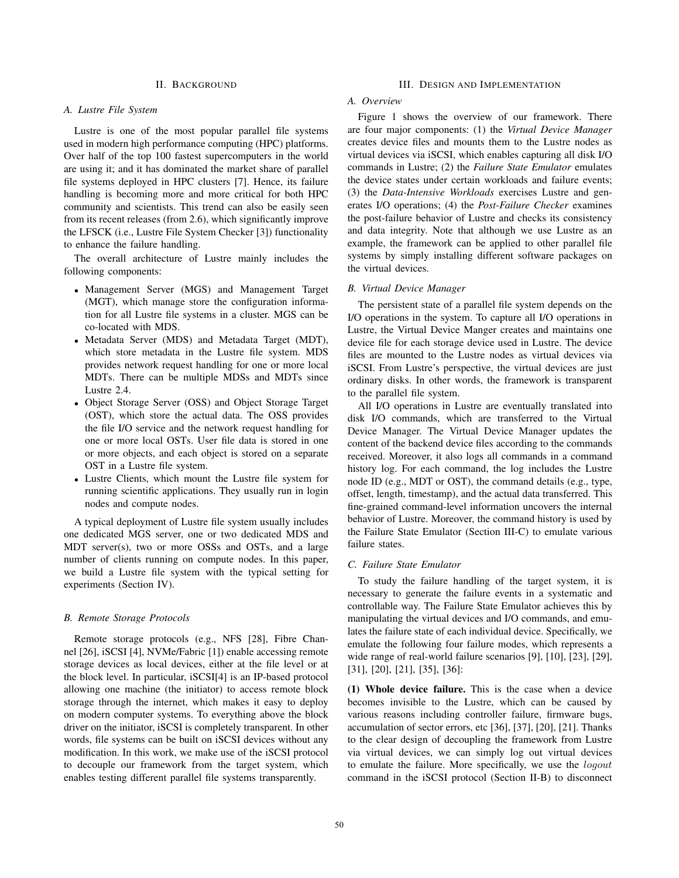## II. BACKGROUND

#### *A. Lustre File System*

Lustre is one of the most popular parallel file systems used in modern high performance computing (HPC) platforms. Over half of the top 100 fastest supercomputers in the world are using it; and it has dominated the market share of parallel file systems deployed in HPC clusters [7]. Hence, its failure handling is becoming more and more critical for both HPC community and scientists. This trend can also be easily seen from its recent releases (from 2.6), which significantly improve the LFSCK (i.e., Lustre File System Checker [3]) functionality to enhance the failure handling.

The overall architecture of Lustre mainly includes the following components:

- Management Server (MGS) and Management Target (MGT), which manage store the configuration information for all Lustre file systems in a cluster. MGS can be co-located with MDS.
- Metadata Server (MDS) and Metadata Target (MDT), which store metadata in the Lustre file system. MDS provides network request handling for one or more local MDTs. There can be multiple MDSs and MDTs since Lustre 2.4.
- Object Storage Server (OSS) and Object Storage Target (OST), which store the actual data. The OSS provides the file I/O service and the network request handling for one or more local OSTs. User file data is stored in one or more objects, and each object is stored on a separate OST in a Lustre file system.
- Lustre Clients, which mount the Lustre file system for running scientific applications. They usually run in login nodes and compute nodes.

A typical deployment of Lustre file system usually includes one dedicated MGS server, one or two dedicated MDS and MDT server(s), two or more OSSs and OSTs, and a large number of clients running on compute nodes. In this paper, we build a Lustre file system with the typical setting for experiments (Section IV).

### *B. Remote Storage Protocols*

Remote storage protocols (e.g., NFS [28], Fibre Channel [26], iSCSI [4], NVMe/Fabric [1]) enable accessing remote storage devices as local devices, either at the file level or at the block level. In particular, iSCSI[4] is an IP-based protocol allowing one machine (the initiator) to access remote block storage through the internet, which makes it easy to deploy on modern computer systems. To everything above the block driver on the initiator, iSCSI is completely transparent. In other words, file systems can be built on iSCSI devices without any modification. In this work, we make use of the iSCSI protocol to decouple our framework from the target system, which enables testing different parallel file systems transparently.

# III. DESIGN AND IMPLEMENTATION

# *A. Overview*

Figure 1 shows the overview of our framework. There are four major components: (1) the *Virtual Device Manager* creates device files and mounts them to the Lustre nodes as virtual devices via iSCSI, which enables capturing all disk I/O commands in Lustre; (2) the *Failure State Emulator* emulates the device states under certain workloads and failure events; (3) the *Data-Intensive Workloads* exercises Lustre and generates I/O operations; (4) the *Post-Failure Checker* examines the post-failure behavior of Lustre and checks its consistency and data integrity. Note that although we use Lustre as an example, the framework can be applied to other parallel file systems by simply installing different software packages on the virtual devices.

#### *B. Virtual Device Manager*

The persistent state of a parallel file system depends on the I/O operations in the system. To capture all I/O operations in Lustre, the Virtual Device Manger creates and maintains one device file for each storage device used in Lustre. The device files are mounted to the Lustre nodes as virtual devices via iSCSI. From Lustre's perspective, the virtual devices are just ordinary disks. In other words, the framework is transparent to the parallel file system.

All I/O operations in Lustre are eventually translated into disk I/O commands, which are transferred to the Virtual Device Manager. The Virtual Device Manager updates the content of the backend device files according to the commands received. Moreover, it also logs all commands in a command history log. For each command, the log includes the Lustre node ID (e.g., MDT or OST), the command details (e.g., type, offset, length, timestamp), and the actual data transferred. This fine-grained command-level information uncovers the internal behavior of Lustre. Moreover, the command history is used by the Failure State Emulator (Section III-C) to emulate various failure states.

#### *C. Failure State Emulator*

To study the failure handling of the target system, it is necessary to generate the failure events in a systematic and controllable way. The Failure State Emulator achieves this by manipulating the virtual devices and I/O commands, and emulates the failure state of each individual device. Specifically, we emulate the following four failure modes, which represents a wide range of real-world failure scenarios [9], [10], [23], [29], [31], [20], [21], [35], [36]:

(1) Whole device failure. This is the case when a device becomes invisible to the Lustre, which can be caused by various reasons including controller failure, firmware bugs, accumulation of sector errors, etc [36], [37], [20], [21]. Thanks to the clear design of decoupling the framework from Lustre via virtual devices, we can simply log out virtual devices to emulate the failure. More specifically, we use the *logout* command in the iSCSI protocol (Section II-B) to disconnect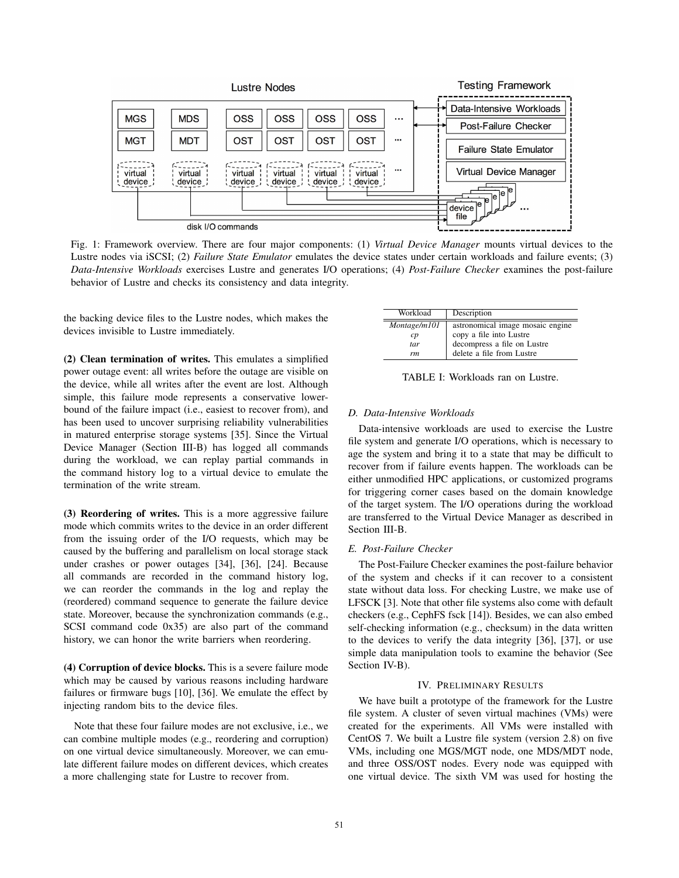

Fig. 1: Framework overview. There are four major components: (1) *Virtual Device Manager* mounts virtual devices to the Lustre nodes via iSCSI; (2) *Failure State Emulator* emulates the device states under certain workloads and failure events; (3) *Data-Intensive Workloads* exercises Lustre and generates I/O operations; (4) *Post-Failure Checker* examines the post-failure behavior of Lustre and checks its consistency and data integrity.

the backing device files to the Lustre nodes, which makes the devices invisible to Lustre immediately.

(2) Clean termination of writes. This emulates a simplified power outage event: all writes before the outage are visible on the device, while all writes after the event are lost. Although simple, this failure mode represents a conservative lowerbound of the failure impact (i.e., easiest to recover from), and has been used to uncover surprising reliability vulnerabilities in matured enterprise storage systems [35]. Since the Virtual Device Manager (Section III-B) has logged all commands during the workload, we can replay partial commands in the command history log to a virtual device to emulate the termination of the write stream.

(3) Reordering of writes. This is a more aggressive failure mode which commits writes to the device in an order different from the issuing order of the I/O requests, which may be caused by the buffering and parallelism on local storage stack under crashes or power outages [34], [36], [24]. Because all commands are recorded in the command history log, we can reorder the commands in the log and replay the (reordered) command sequence to generate the failure device state. Moreover, because the synchronization commands (e.g., SCSI command code 0x35) are also part of the command history, we can honor the write barriers when reordering.

(4) Corruption of device blocks. This is a severe failure mode which may be caused by various reasons including hardware failures or firmware bugs [10], [36]. We emulate the effect by injecting random bits to the device files.

Note that these four failure modes are not exclusive, i.e., we can combine multiple modes (e.g., reordering and corruption) on one virtual device simultaneously. Moreover, we can emulate different failure modes on different devices, which creates a more challenging state for Lustre to recover from.

| Workload       | Description                      |  |  |  |  |  |
|----------------|----------------------------------|--|--|--|--|--|
| Montage/m101   | astronomical image mosaic engine |  |  |  |  |  |
| $\mathcal{C}p$ | copy a file into Lustre          |  |  |  |  |  |
| tar            | decompress a file on Lustre      |  |  |  |  |  |
| rm             | delete a file from Lustre        |  |  |  |  |  |

TABLE I: Workloads ran on Lustre.

## *D. Data-Intensive Workloads*

Data-intensive workloads are used to exercise the Lustre file system and generate I/O operations, which is necessary to age the system and bring it to a state that may be difficult to recover from if failure events happen. The workloads can be either unmodified HPC applications, or customized programs for triggering corner cases based on the domain knowledge of the target system. The I/O operations during the workload are transferred to the Virtual Device Manager as described in Section III-B.

### *E. Post-Failure Checker*

The Post-Failure Checker examines the post-failure behavior of the system and checks if it can recover to a consistent state without data loss. For checking Lustre, we make use of LFSCK [3]. Note that other file systems also come with default checkers (e.g., CephFS fsck [14]). Besides, we can also embed self-checking information (e.g., checksum) in the data written to the devices to verify the data integrity [36], [37], or use simple data manipulation tools to examine the behavior (See Section IV-B).

#### IV. PRELIMINARY RESULTS

We have built a prototype of the framework for the Lustre file system. A cluster of seven virtual machines (VMs) were created for the experiments. All VMs were installed with CentOS 7. We built a Lustre file system (version 2.8) on five VMs, including one MGS/MGT node, one MDS/MDT node, and three OSS/OST nodes. Every node was equipped with one virtual device. The sixth VM was used for hosting the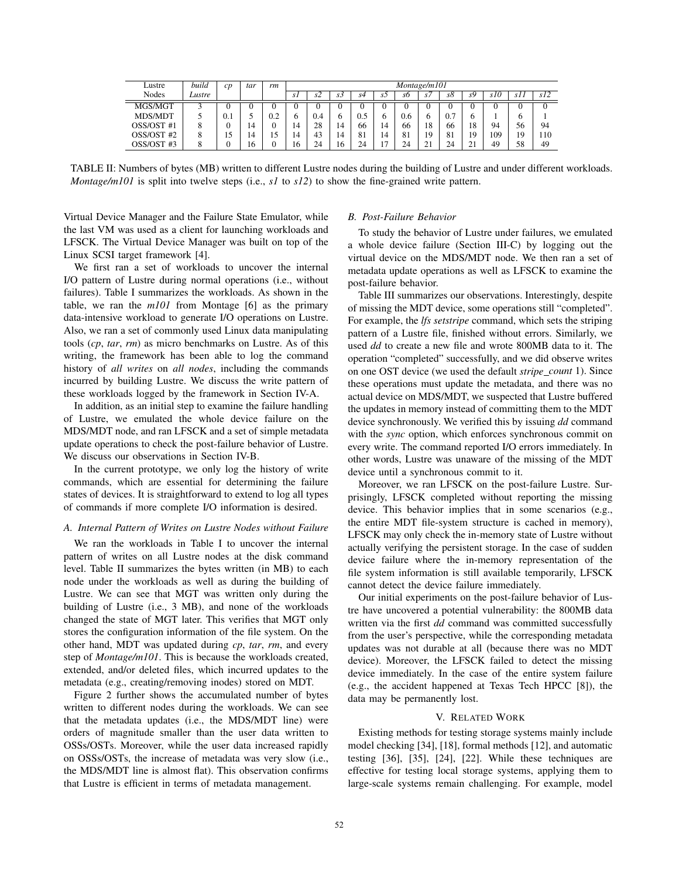| Lustre     | build  | CD  | tar | rm  | Montage/m101 |     |     |     |                              |     |                |                  |         |     |     |     |
|------------|--------|-----|-----|-----|--------------|-----|-----|-----|------------------------------|-----|----------------|------------------|---------|-----|-----|-----|
| Nodes      | Lustre |     |     |     | S I          | s2  | SJ. | s4  | s2                           | s6  | $\overline{S}$ | sð               | sУ      | s10 | SI. | s12 |
| MGS/MGT    |        |     |     |     |              |     |     |     |                              | U   | U              |                  |         |     |     | υ   |
| MDS/MDT    |        | 0.1 |     | 0.2 |              | 0.4 |     | 0.5 | h                            | 0.6 | h              | o<br>$0^{\circ}$ |         |     |     |     |
| OSS/OST #1 |        |     | 14  |     | 14           | 28  | 14  | 66  | 14                           | 66  | 18             | 66               | 18      | 94  | 56  | 94  |
| OSS/OST #2 | Ω      | 15  | 14  | 15  | 14           | 43  | 14  | 81  | 14                           | 81  | 19             | 81               | 19      | 109 | 19  | 110 |
| OSS/OST #3 |        |     | 16  |     | 16           | 24  | 16  | 24  | $\overline{\phantom{0}}$<br> | 24  | 21<br>∠⊥       | 24               | 21<br>∸ | 49  | 58  | 49  |

TABLE II: Numbers of bytes (MB) written to different Lustre nodes during the building of Lustre and under different workloads. *Montage/m101* is split into twelve steps (i.e., *s1* to *s12*) to show the fine-grained write pattern.

Virtual Device Manager and the Failure State Emulator, while the last VM was used as a client for launching workloads and LFSCK. The Virtual Device Manager was built on top of the Linux SCSI target framework [4].

We first ran a set of workloads to uncover the internal I/O pattern of Lustre during normal operations (i.e., without failures). Table I summarizes the workloads. As shown in the table, we ran the *m101* from Montage [6] as the primary data-intensive workload to generate I/O operations on Lustre. Also, we ran a set of commonly used Linux data manipulating tools (*cp*, *tar*, *rm*) as micro benchmarks on Lustre. As of this writing, the framework has been able to log the command history of *all writes* on *all nodes*, including the commands incurred by building Lustre. We discuss the write pattern of these workloads logged by the framework in Section IV-A.

In addition, as an initial step to examine the failure handling of Lustre, we emulated the whole device failure on the MDS/MDT node, and ran LFSCK and a set of simple metadata update operations to check the post-failure behavior of Lustre. We discuss our observations in Section IV-B.

In the current prototype, we only log the history of write commands, which are essential for determining the failure states of devices. It is straightforward to extend to log all types of commands if more complete I/O information is desired.

#### *A. Internal Pattern of Writes on Lustre Nodes without Failure*

We ran the workloads in Table I to uncover the internal pattern of writes on all Lustre nodes at the disk command level. Table II summarizes the bytes written (in MB) to each node under the workloads as well as during the building of Lustre. We can see that MGT was written only during the building of Lustre (i.e., 3 MB), and none of the workloads changed the state of MGT later. This verifies that MGT only stores the configuration information of the file system. On the other hand, MDT was updated during *cp*, *tar*, *rm*, and every step of *Montage/m101*. This is because the workloads created, extended, and/or deleted files, which incurred updates to the metadata (e.g., creating/removing inodes) stored on MDT.

Figure 2 further shows the accumulated number of bytes written to different nodes during the workloads. We can see that the metadata updates (i.e., the MDS/MDT line) were orders of magnitude smaller than the user data written to OSSs/OSTs. Moreover, while the user data increased rapidly on OSSs/OSTs, the increase of metadata was very slow (i.e., the MDS/MDT line is almost flat). This observation confirms that Lustre is efficient in terms of metadata management.

### *B. Post-Failure Behavior*

To study the behavior of Lustre under failures, we emulated a whole device failure (Section III-C) by logging out the virtual device on the MDS/MDT node. We then ran a set of metadata update operations as well as LFSCK to examine the post-failure behavior.

Table III summarizes our observations. Interestingly, despite of missing the MDT device, some operations still "completed". For example, the *lfs setstripe* command, which sets the striping pattern of a Lustre file, finished without errors. Similarly, we used *dd* to create a new file and wrote 800MB data to it. The operation "completed" successfully, and we did observe writes on one OST device (we used the default *stripe count* 1). Since these operations must update the metadata, and there was no actual device on MDS/MDT, we suspected that Lustre buffered the updates in memory instead of committing them to the MDT device synchronously. We verified this by issuing *dd* command with the *sync* option, which enforces synchronous commit on every write. The command reported I/O errors immediately. In other words, Lustre was unaware of the missing of the MDT device until a synchronous commit to it.

Moreover, we ran LFSCK on the post-failure Lustre. Surprisingly, LFSCK completed without reporting the missing device. This behavior implies that in some scenarios (e.g., the entire MDT file-system structure is cached in memory), LFSCK may only check the in-memory state of Lustre without actually verifying the persistent storage. In the case of sudden device failure where the in-memory representation of the file system information is still available temporarily, LFSCK cannot detect the device failure immediately.

Our initial experiments on the post-failure behavior of Lustre have uncovered a potential vulnerability: the 800MB data written via the first *dd* command was committed successfully from the user's perspective, while the corresponding metadata updates was not durable at all (because there was no MDT device). Moreover, the LFSCK failed to detect the missing device immediately. In the case of the entire system failure (e.g., the accident happened at Texas Tech HPCC [8]), the data may be permanently lost.

#### V. RELATED WORK

Existing methods for testing storage systems mainly include model checking [34], [18], formal methods [12], and automatic testing [36], [35], [24], [22]. While these techniques are effective for testing local storage systems, applying them to large-scale systems remain challenging. For example, model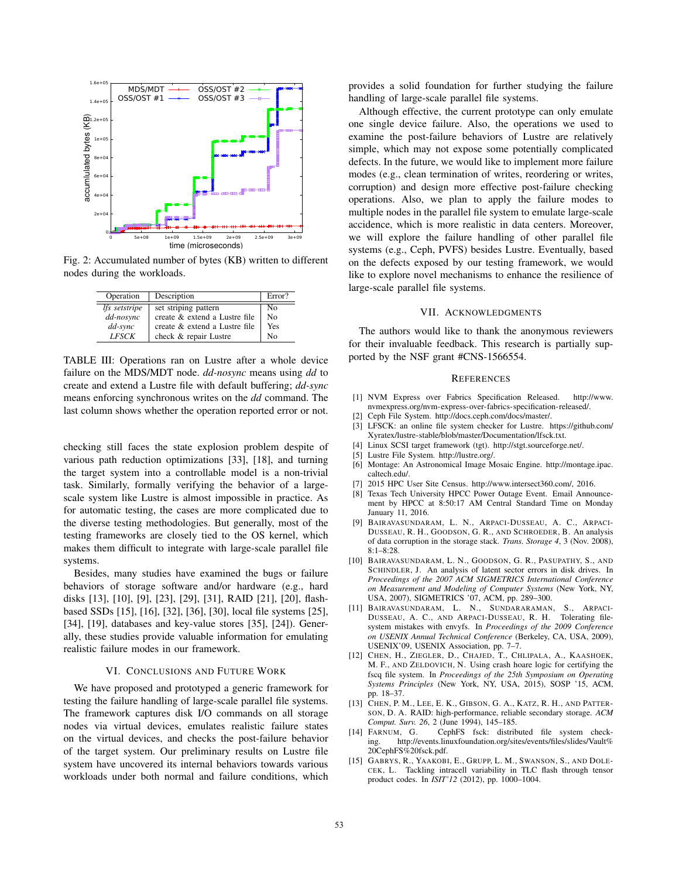

Fig. 2: Accumulated number of bytes (KB) written to different nodes during the workloads.

| Operation            | Description                   | Error? |
|----------------------|-------------------------------|--------|
| <i>lfs</i> setstripe | set striping pattern          | No     |
| dd-nosync            | create & extend a Lustre file | Nο     |
| $dd$ -sync           | create & extend a Lustre file | Yes    |
| <b>LFSCK</b>         | check & repair Lustre         | Nο     |

TABLE III: Operations ran on Lustre after a whole device failure on the MDS/MDT node. *dd-nosync* means using *dd* to create and extend a Lustre file with default buffering; *dd-sync* means enforcing synchronous writes on the *dd* command. The last column shows whether the operation reported error or not.

checking still faces the state explosion problem despite of various path reduction optimizations [33], [18], and turning the target system into a controllable model is a non-trivial task. Similarly, formally verifying the behavior of a largescale system like Lustre is almost impossible in practice. As for automatic testing, the cases are more complicated due to the diverse testing methodologies. But generally, most of the testing frameworks are closely tied to the OS kernel, which makes them difficult to integrate with large-scale parallel file systems.

Besides, many studies have examined the bugs or failure behaviors of storage software and/or hardware (e.g., hard disks [13], [10], [9], [23], [29], [31], RAID [21], [20], flashbased SSDs [15], [16], [32], [36], [30], local file systems [25], [34], [19], databases and key-value stores [35], [24]). Generally, these studies provide valuable information for emulating realistic failure modes in our framework.

# VI. CONCLUSIONS AND FUTURE WORK

We have proposed and prototyped a generic framework for testing the failure handling of large-scale parallel file systems. The framework captures disk I/O commands on all storage nodes via virtual devices, emulates realistic failure states on the virtual devices, and checks the post-failure behavior of the target system. Our preliminary results on Lustre file system have uncovered its internal behaviors towards various workloads under both normal and failure conditions, which provides a solid foundation for further studying the failure handling of large-scale parallel file systems.

Although effective, the current prototype can only emulate one single device failure. Also, the operations we used to examine the post-failure behaviors of Lustre are relatively simple, which may not expose some potentially complicated defects. In the future, we would like to implement more failure modes (e.g., clean termination of writes, reordering or writes, corruption) and design more effective post-failure checking operations. Also, we plan to apply the failure modes to multiple nodes in the parallel file system to emulate large-scale accidence, which is more realistic in data centers. Moreover, we will explore the failure handling of other parallel file systems (e.g., Ceph, PVFS) besides Lustre. Eventually, based on the defects exposed by our testing framework, we would like to explore novel mechanisms to enhance the resilience of large-scale parallel file systems.

#### VII. ACKNOWLEDGMENTS

The authors would like to thank the anonymous reviewers for their invaluable feedback. This research is partially supported by the NSF grant #CNS-1566554.

#### **REFERENCES**

- [1] NVM Express over Fabrics Specification Released. http://www. nvmexpress.org/nvm-express-over-fabrics-specification-released/.
- [2] Ceph File System. http://docs.ceph.com/docs/master/.
- [3] LFSCK: an online file system checker for Lustre. https://github.com/ Xyratex/lustre-stable/blob/master/Documentation/lfsck.txt.
- [4] Linux SCSI target framework (tgt). http://stgt.sourceforge.net/.
- [5] Lustre File System. http://lustre.org/.
- [6] Montage: An Astronomical Image Mosaic Engine. http://montage.ipac. caltech.edu/.
- [7] 2015 HPC User Site Census. http://www.intersect360.com/, 2016.
- [8] Texas Tech University HPCC Power Outage Event. Email Announcement by HPCC at 8:50:17 AM Central Standard Time on Monday January 11, 2016.
- [9] BAIRAVASUNDARAM, L. N., ARPACI-DUSSEAU, A. C., ARPACI-DUSSEAU, R. H., GOODSON, G. R., AND SCHROEDER, B. An analysis of data corruption in the storage stack. *Trans. Storage 4*, 3 (Nov. 2008), 8:1–8:28.
- [10] BAIRAVASUNDARAM, L. N., GOODSON, G. R., PASUPATHY, S., AND SCHINDLER, J. An analysis of latent sector errors in disk drives. In *Proceedings of the 2007 ACM SIGMETRICS International Conference on Measurement and Modeling of Computer Systems* (New York, NY, USA, 2007), SIGMETRICS '07, ACM, pp. 289–300.
- [11] BAIRAVASUNDARAM, L. N., SUNDARARAMAN, S., ARPACI-DUSSEAU, A. C., AND ARPACI-DUSSEAU, R. H. system mistakes with envyfs. In *Proceedings of the 2009 Conference on USENIX Annual Technical Conference* (Berkeley, CA, USA, 2009), USENIX'09, USENIX Association, pp. 7–7.
- [12] CHEN, H., ZIEGLER, D., CHAJED, T., CHLIPALA, A., KAASHOEK, M. F., AND ZELDOVICH, N. Using crash hoare logic for certifying the fscq file system. In *Proceedings of the 25th Symposium on Operating Systems Principles* (New York, NY, USA, 2015), SOSP '15, ACM, pp. 18–37.
- [13] CHEN, P. M., LEE, E. K., GIBSON, G. A., KATZ, R. H., AND PATTER-SON, D. A. RAID: high-performance, reliable secondary storage. *ACM Comput. Surv. 26, 2 (June 1994), 145–185.* [14] FARNUM, G. CephFS fsck: distributed
- CephFS fsck: distributed file system checking. http://events.linuxfoundation.org/sites/events/files/slides/Vault% 20CephFS%20fsck.pdf.
- [15] GABRYS, R., YAAKOBI, E., GRUPP, L. M., SWANSON, S., AND DOLE-CEK, L. Tackling intracell variability in TLC flash through tensor product codes. In *ISIT'12* (2012), pp. 1000–1004.